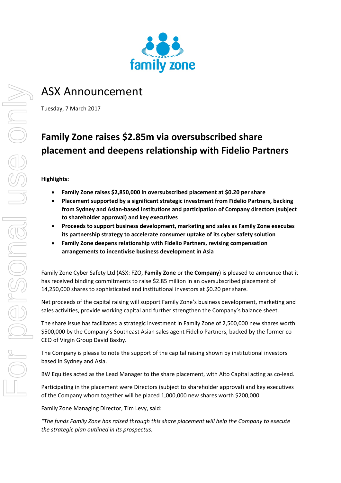

# ASX Announcement

Tuesday, 7 March 2017

## **Family Zone raises \$2.85m via oversubscribed share placement and deepens relationship with Fidelio Partners**

#### **Highlights:**

- **Family Zone raises \$2,850,000 in oversubscribed placement at \$0.20 per share**
- **Placement supported by a significant strategic investment from Fidelio Partners, backing from Sydney and Asian‐based institutions and participation of Company directors (subject to shareholder approval) and key executives**
- **Proceeds to support business development, marketing and sales as Family Zone executes its partnership strategy to accelerate consumer uptake of its cyber safety solution**
- **Family Zone deepens relationship with Fidelio Partners, revising compensation arrangements to incentivise business development in Asia**

Family Zone Cyber Safety Ltd (ASX: FZO, **Family Zone** or **the Company**) is pleased to announce that it has received binding commitments to raise \$2.85 million in an oversubscribed placement of 14,250,000 shares to sophisticated and institutional investors at \$0.20 per share.

Net proceeds of the capital raising will support Family Zone's business development, marketing and sales activities, provide working capital and further strengthen the Company's balance sheet.

The share issue has facilitated a strategic investment in Family Zone of 2,500,000 new shares worth \$500,000 by the Company's Southeast Asian sales agent Fidelio Partners, backed by the former co‐ CEO of Virgin Group David Baxby.

The Company is please to note the support of the capital raising shown by institutional investors based in Sydney and Asia.

BW Equities acted as the Lead Manager to the share placement, with Alto Capital acting as co-lead.

Participating in the placement were Directors (subject to shareholder approval) and key executives of the Company whom together will be placed 1,000,000 new shares worth \$200,000.

Family Zone Managing Director, Tim Levy, said:

*"The funds Family Zone has raised through this share placement will help the Company to execute the strategic plan outlined in its prospectus.*